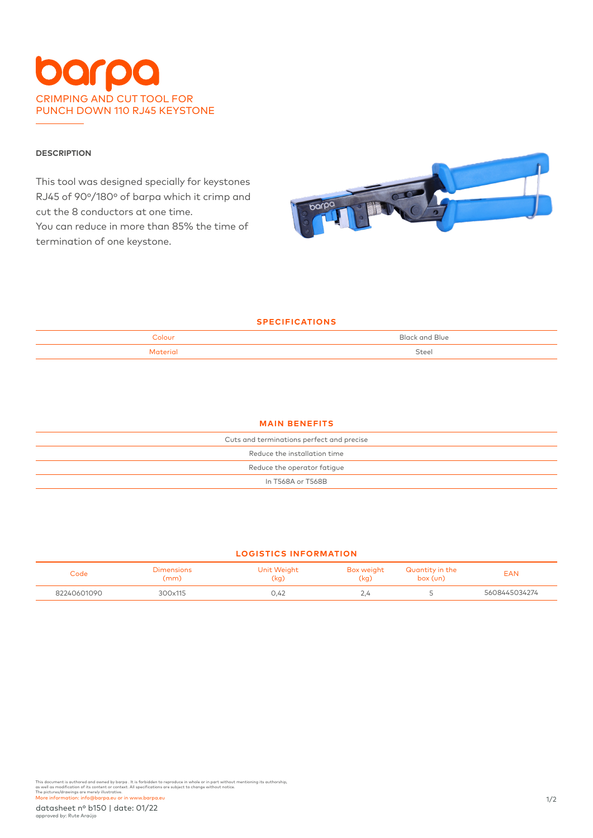# CRIMPING AND CUT TOOL FOR PUNCH DOWN 110 RJ45 KEYSTONE

## **DESCRIPTION**

This tool was designed specially for keystones RJ45 of 90º/180º of barpa which it crimp and cut the 8 conductors at one time. You can reduce in more than 85% the time of termination of one keystone.



## **SPECIFICATIONS**

| Colour<br>$- - - - -$ | and Blue<br>$D _{\alpha,\alpha}$ |
|-----------------------|----------------------------------|
| تتمم وسال             | Steel                            |

#### **MAIN BENEFITS**

| Cuts and terminations perfect and precise |  |  |
|-------------------------------------------|--|--|
| Reduce the installation time              |  |  |
| Reduce the operator fatigue               |  |  |
| In T568A or T568B                         |  |  |
|                                           |  |  |

## **LOGISTICS INFORMATION**

| Code        | Dimensions<br>(mm) | Unit Weight<br>(kq) | Box weight<br>(kg) | Quantity in the<br>box (un) | EAN           |
|-------------|--------------------|---------------------|--------------------|-----------------------------|---------------|
| 82240601090 | 300x115            | 0,42                | $\sim$ .4          |                             | 5608445034274 |

This document is authored and owned by barpa . It is forbidden to reproduce in whole or in part without mentioning its authorship,<br>as well as modification of its content or context. All specifications are subject to change